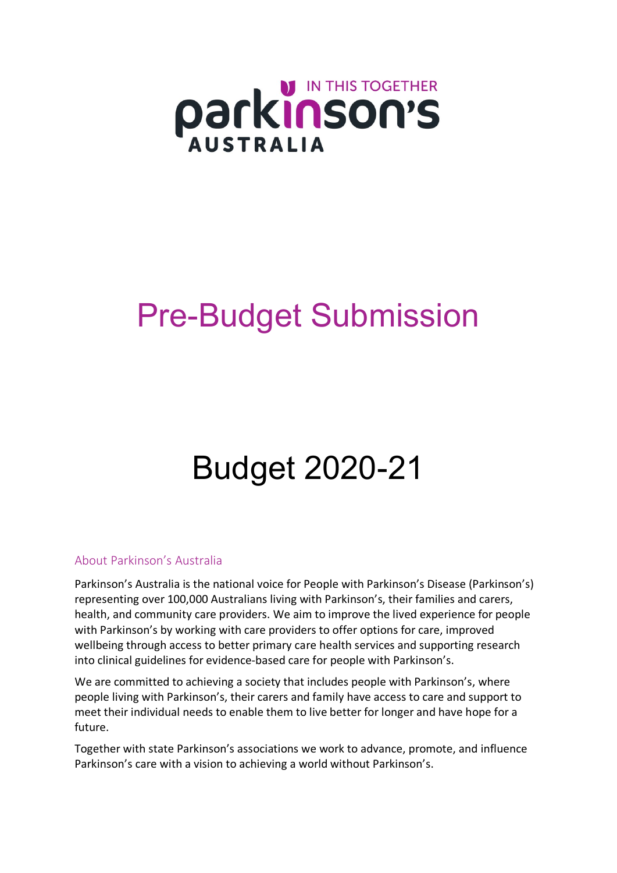

# Pre-Budget Submission

# Budget 2020-21

#### About Parkinson's Australia

Parkinson's Australia is the national voice for People with Parkinson's Disease (Parkinson's) representing over 100,000 Australians living with Parkinson's, their families and carers, health, and community care providers. We aim to improve the lived experience for people with Parkinson's by working with care providers to offer options for care, improved wellbeing through access to better primary care health services and supporting research into clinical guidelines for evidence-based care for people with Parkinson's.

We are committed to achieving a society that includes people with Parkinson's, where people living with Parkinson's, their carers and family have access to care and support to meet their individual needs to enable them to live better for longer and have hope for a future.

Together with state Parkinson's associations we work to advance, promote, and influence Parkinson's care with a vision to achieving a world without Parkinson's.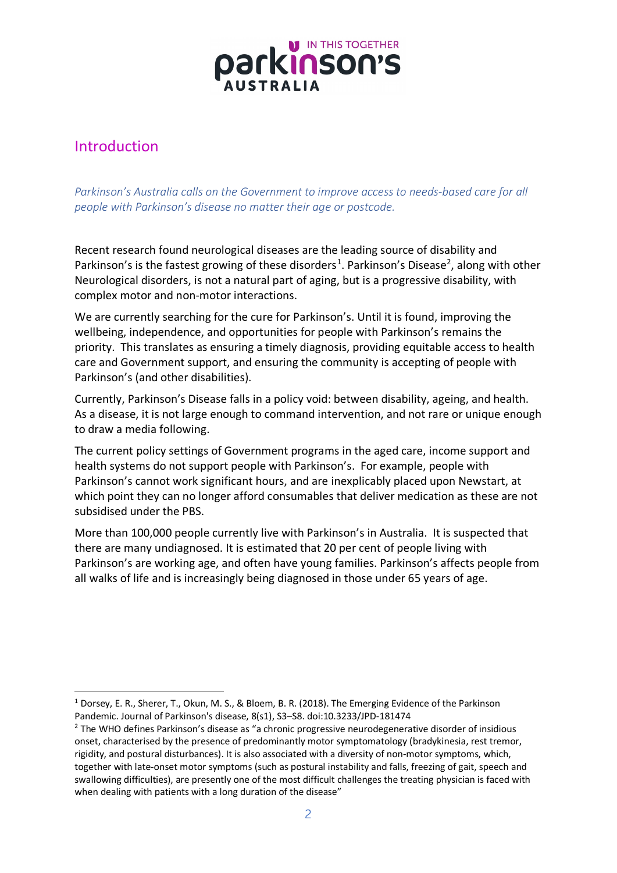

# Introduction

*Parkinson's Australia calls on the Government to improve access to needs-based care for all people with Parkinson's disease no matter their age or postcode.* 

Recent research found neurological diseases are the leading source of disability and Parkinson's is the fastest growing of these disorders<sup>[1](#page-1-0)</sup>. Parkinson's Disease<sup>2</sup>, along with other Neurological disorders, is not a natural part of aging, but is a progressive disability, with complex motor and non-motor interactions.

We are currently searching for the cure for Parkinson's. Until it is found, improving the wellbeing, independence, and opportunities for people with Parkinson's remains the priority. This translates as ensuring a timely diagnosis, providing equitable access to health care and Government support, and ensuring the community is accepting of people with Parkinson's (and other disabilities).

Currently, Parkinson's Disease falls in a policy void: between disability, ageing, and health. As a disease, it is not large enough to command intervention, and not rare or unique enough to draw a media following.

The current policy settings of Government programs in the aged care, income support and health systems do not support people with Parkinson's. For example, people with Parkinson's cannot work significant hours, and are inexplicably placed upon Newstart, at which point they can no longer afford consumables that deliver medication as these are not subsidised under the PBS.

More than 100,000 people currently live with Parkinson's in Australia. It is suspected that there are many undiagnosed. It is estimated that 20 per cent of people living with Parkinson's are working age, and often have young families. Parkinson's affects people from all walks of life and is increasingly being diagnosed in those under 65 years of age.

<span id="page-1-0"></span><sup>&</sup>lt;sup>1</sup> Dorsey, E. R., Sherer, T., Okun, M. S., & Bloem, B. R. (2018). The Emerging Evidence of the Parkinson Pandemic. Journal of Parkinson's disease, 8(s1), S3–S8. doi:10.3233/JPD-181474

<span id="page-1-1"></span><sup>2</sup> The WHO defines Parkinson's disease as "a chronic progressive neurodegenerative disorder of insidious onset, characterised by the presence of predominantly motor symptomatology (bradykinesia, rest tremor, rigidity, and postural disturbances). It is also associated with a diversity of non-motor symptoms, which, together with late-onset motor symptoms (such as postural instability and falls, freezing of gait, speech and swallowing difficulties), are presently one of the most difficult challenges the treating physician is faced with when dealing with patients with a long duration of the disease"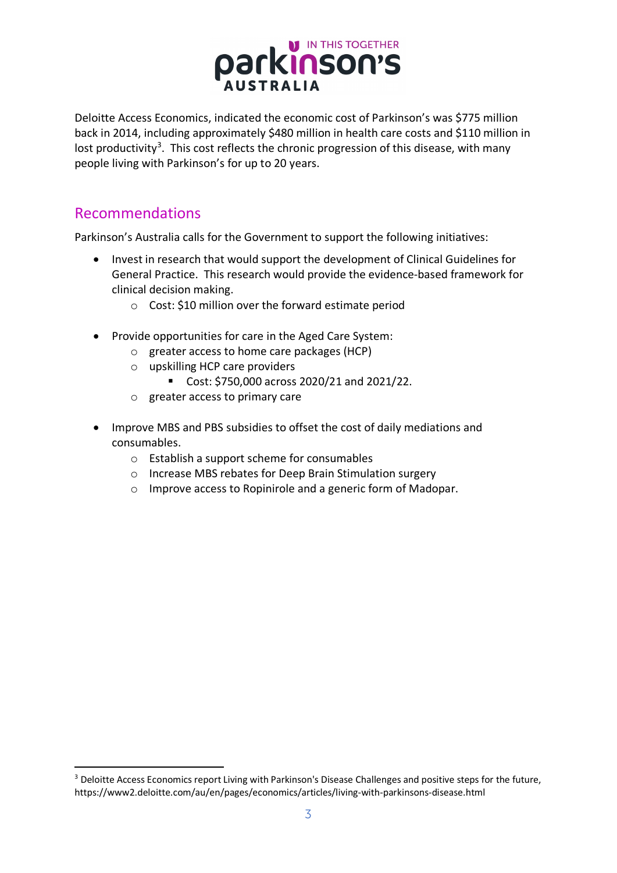

Deloitte Access Economics, indicated the economic cost of Parkinson's was \$775 million back in 2014, including approximately \$480 million in health care costs and \$110 million in lost productivity<sup>[3](#page-2-0)</sup>. This cost reflects the chronic progression of this disease, with many people living with Parkinson's for up to 20 years.

## Recommendations

Parkinson's Australia calls for the Government to support the following initiatives:

- Invest in research that would support the development of Clinical Guidelines for General Practice. This research would provide the evidence-based framework for clinical decision making.
	- o Cost: \$10 million over the forward estimate period
- Provide opportunities for care in the Aged Care System:
	- o greater access to home care packages (HCP)
	- o upskilling HCP care providers
		- Cost: \$750,000 across 2020/21 and 2021/22.
	- o greater access to primary care
- Improve MBS and PBS subsidies to offset the cost of daily mediations and consumables.
	- o Establish a support scheme for consumables
	- o Increase MBS rebates for Deep Brain Stimulation surgery
	- o Improve access to Ropinirole and a generic form of Madopar.

<span id="page-2-0"></span><sup>&</sup>lt;sup>3</sup> Deloitte Access Economics report Living with Parkinson's Disease Challenges and positive steps for the future, <https://www2.deloitte.com/au/en/pages/economics/articles/living-with-parkinsons-disease.html>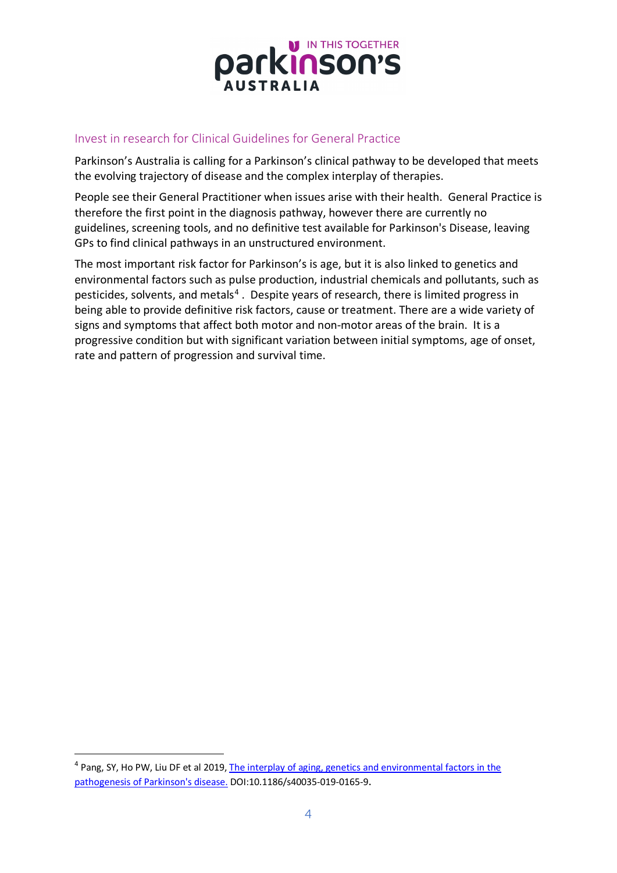

### Invest in research for Clinical Guidelines for General Practice

Parkinson's Australia is calling for a Parkinson's clinical pathway to be developed that meets the evolving trajectory of disease and the complex interplay of therapies.

People see their General Practitioner when issues arise with their health. General Practice is therefore the first point in the diagnosis pathway, however there are currently no guidelines, screening tools, and no definitive test available for Parkinson's Disease, leaving GPs to find clinical pathways in an unstructured environment.

The most important risk factor for Parkinson's is age, but it is also linked to genetics and environmental factors such as pulse production, industrial chemicals and pollutants, such as pesticides, solvents, and metals<sup>[4](#page-3-0)</sup>. Despite years of research, there is limited progress in being able to provide definitive risk factors, cause or treatment. There are a wide variety of signs and symptoms that affect both motor and non-motor areas of the brain. It is a progressive condition but with significant variation between initial symptoms, age of onset, rate and pattern of progression and survival time.

<span id="page-3-0"></span><sup>4</sup> Pang, SY, Ho PW, Liu DF et al 2019[, The interplay of aging, genetics and environmental factors in the](https://www.ncbi.nlm.nih.gov/pubmed/31428316)  [pathogenesis of Parkinson's disease.](https://www.ncbi.nlm.nih.gov/pubmed/31428316) DOI[:10.1186/s40035-019-0165-9.](https://doi.org/10.1186/s40035-019-0165-9)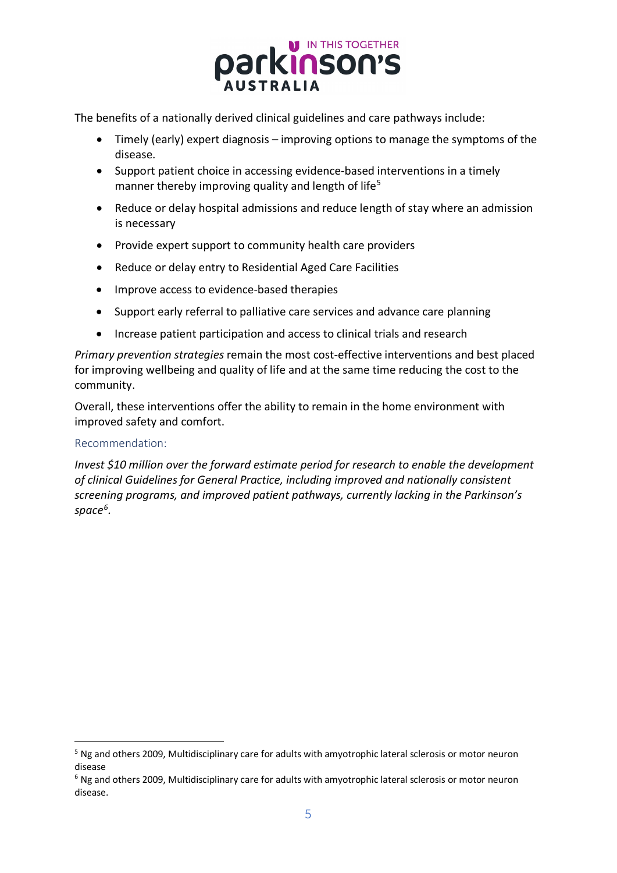

The benefits of a nationally derived clinical guidelines and care pathways include:

- Timely (early) expert diagnosis improving options to manage the symptoms of the disease.
- Support patient choice in accessing evidence-based interventions in a timely manner thereby improving quality and length of life<sup>[5](#page-4-0)</sup>
- Reduce or delay hospital admissions and reduce length of stay where an admission is necessary
- Provide expert support to community health care providers
- Reduce or delay entry to Residential Aged Care Facilities
- Improve access to evidence-based therapies
- Support early referral to palliative care services and advance care planning
- Increase patient participation and access to clinical trials and research

*Primary prevention strategies* remain the most cost-effective interventions and best placed for improving wellbeing and quality of life and at the same time reducing the cost to the community.

Overall, these interventions offer the ability to remain in the home environment with improved safety and comfort.

#### Recommendation:

*Invest \$10 million over the forward estimate period for research to enable the development of clinical Guidelines for General Practice, including improved and nationally consistent screening programs, and improved patient pathways, currently lacking in the Parkinson's space[6](#page-4-1).*

<span id="page-4-0"></span><sup>&</sup>lt;sup>5</sup> Ng and others 2009, Multidisciplinary care for adults with amyotrophic lateral sclerosis or motor neuron disease

<span id="page-4-1"></span><sup>6</sup> Ng and others 2009, Multidisciplinary care for adults with amyotrophic lateral sclerosis or motor neuron disease.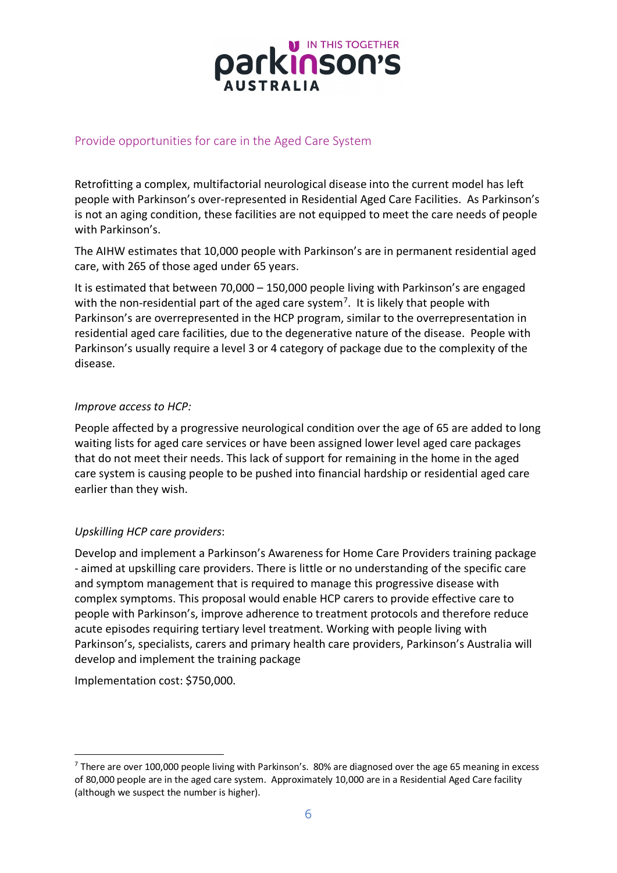

### Provide opportunities for care in the Aged Care System

Retrofitting a complex, multifactorial neurological disease into the current model has left people with Parkinson's over-represented in Residential Aged Care Facilities. As Parkinson's is not an aging condition, these facilities are not equipped to meet the care needs of people with Parkinson's.

The AIHW estimates that 10,000 people with Parkinson's are in permanent residential aged care, with 265 of those aged under 65 years.

It is estimated that between 70,000 – 150,000 people living with Parkinson's are engaged with the non-residential part of the aged care system<sup>7</sup>. It is likely that people with Parkinson's are overrepresented in the HCP program, similar to the overrepresentation in residential aged care facilities, due to the degenerative nature of the disease. People with Parkinson's usually require a level 3 or 4 category of package due to the complexity of the disease.

#### *Improve access to HCP:*

People affected by a progressive neurological condition over the age of 65 are added to long waiting lists for aged care services or have been assigned lower level aged care packages that do not meet their needs. This lack of support for remaining in the home in the aged care system is causing people to be pushed into financial hardship or residential aged care earlier than they wish.

#### *Upskilling HCP care providers*:

Develop and implement a Parkinson's Awareness for Home Care Providers training package - aimed at upskilling care providers. There is little or no understanding of the specific care and symptom management that is required to manage this progressive disease with complex symptoms. This proposal would enable HCP carers to provide effective care to people with Parkinson's, improve adherence to treatment protocols and therefore reduce acute episodes requiring tertiary level treatment. Working with people living with Parkinson's, specialists, carers and primary health care providers, Parkinson's Australia will develop and implement the training package

Implementation cost: \$750,000.

<span id="page-5-0"></span> $<sup>7</sup>$  There are over 100,000 people living with Parkinson's. 80% are diagnosed over the age 65 meaning in excess</sup> of 80,000 people are in the aged care system. Approximately 10,000 are in a Residential Aged Care facility (although we suspect the number is higher).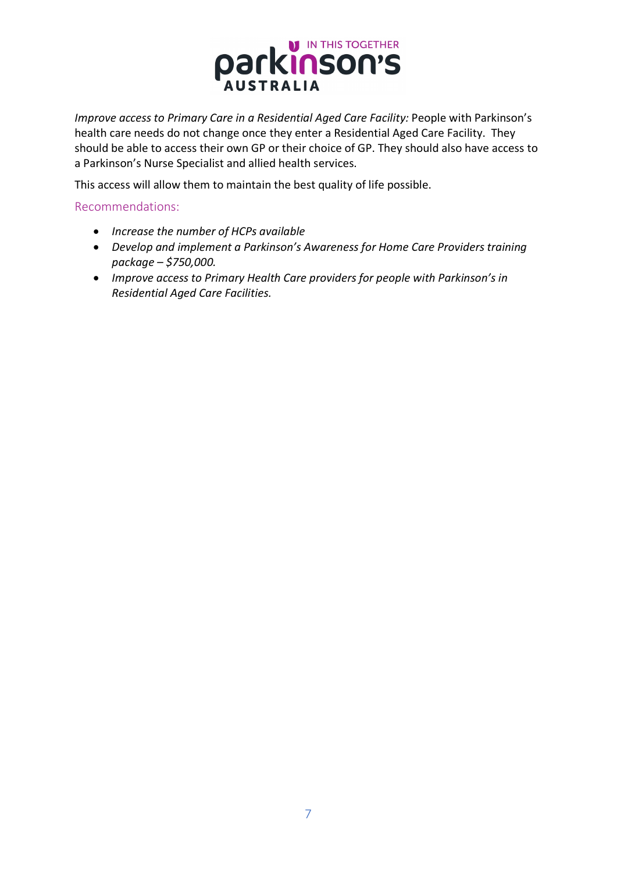

*Improve access to Primary Care in a Residential Aged Care Facility: People with Parkinson's* health care needs do not change once they enter a Residential Aged Care Facility. They should be able to access their own GP or their choice of GP. They should also have access to a Parkinson's Nurse Specialist and allied health services.

This access will allow them to maintain the best quality of life possible.

Recommendations:

- *Increase the number of HCPs available*
- *Develop and implement a Parkinson's Awareness for Home Care Providers training package – \$750,000.*
- *Improve access to Primary Health Care providers for people with Parkinson's in Residential Aged Care Facilities.*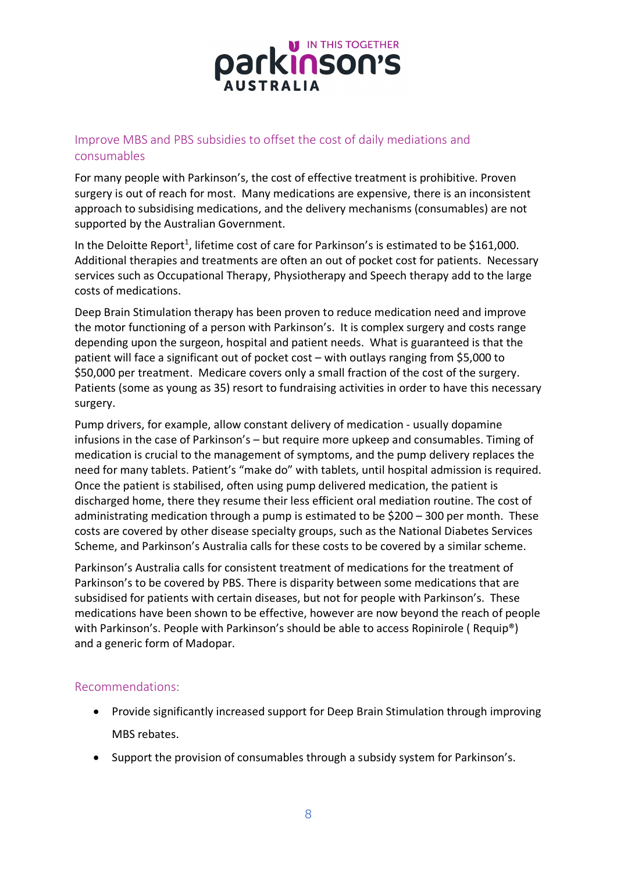

## Improve MBS and PBS subsidies to offset the cost of daily mediations and consumables

For many people with Parkinson's, the cost of effective treatment is prohibitive. Proven surgery is out of reach for most. Many medications are expensive, there is an inconsistent approach to subsidising medications, and the delivery mechanisms (consumables) are not supported by the Australian Government.

In the Deloitte Report<sup>1</sup>, lifetime cost of care for Parkinson's is estimated to be \$161,000. Additional therapies and treatments are often an out of pocket cost for patients. Necessary services such as Occupational Therapy, Physiotherapy and Speech therapy add to the large costs of medications.

Deep Brain Stimulation therapy has been proven to reduce medication need and improve the motor functioning of a person with Parkinson's. It is complex surgery and costs range depending upon the surgeon, hospital and patient needs. What is guaranteed is that the patient will face a significant out of pocket cost – with outlays ranging from \$5,000 to \$50,000 per treatment. Medicare covers only a small fraction of the cost of the surgery. Patients (some as young as 35) resort to fundraising activities in order to have this necessary surgery.

Pump drivers, for example, allow constant delivery of medication - usually dopamine infusions in the case of Parkinson's – but require more upkeep and consumables. Timing of medication is crucial to the management of symptoms, and the pump delivery replaces the need for many tablets. Patient's "make do" with tablets, until hospital admission is required. Once the patient is stabilised, often using pump delivered medication, the patient is discharged home, there they resume their less efficient oral mediation routine. The cost of administrating medication through a pump is estimated to be \$200 – 300 per month. These costs are covered by other disease specialty groups, such as the National Diabetes Services Scheme, and Parkinson's Australia calls for these costs to be covered by a similar scheme.

Parkinson's Australia calls for consistent treatment of medications for the treatment of Parkinson's to be covered by PBS. There is disparity between some medications that are subsidised for patients with certain diseases, but not for people with Parkinson's. These medications have been shown to be effective, however are now beyond the reach of people with Parkinson's. People with Parkinson's should be able to access Ropinirole (Requip<sup>®</sup>) and a generic form of Madopar.

#### Recommendations:

- Provide significantly increased support for Deep Brain Stimulation through improving MBS rebates.
- Support the provision of consumables through a subsidy system for Parkinson's.